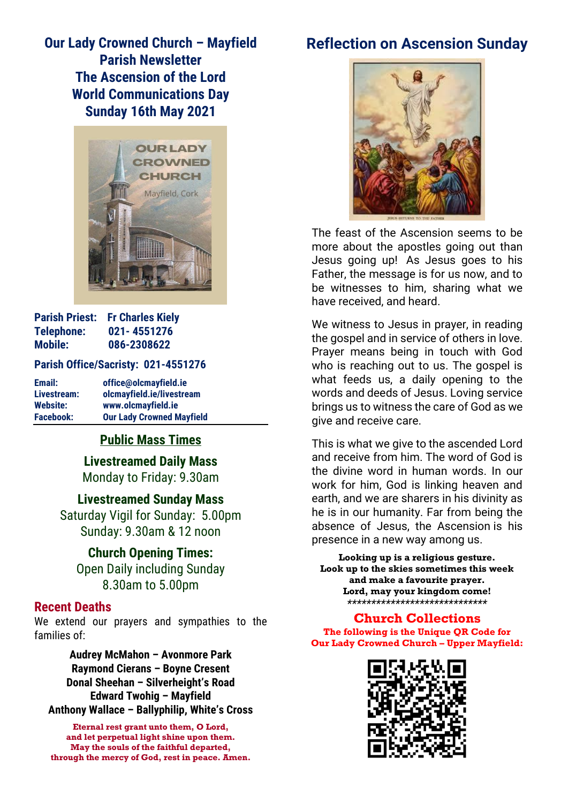# **Our Lady Crowned Church – Mayfield Parish Newsletter The Ascension of the Lord World Communications Day Sunday 16th May 2021**



| <b>Parish Priest:</b> | <b>Fr Charles Kiely</b> |
|-----------------------|-------------------------|
| Telephone:            | 021-4551276             |
| <b>Mobile:</b>        | 086-2308622             |

#### **Parish Office/Sacristy: 021-4551276**

| Email:           | office@olcmayfield.ie            |
|------------------|----------------------------------|
| Livestream:      | olcmayfield.ie/livestream        |
| <b>Website:</b>  | www.olcmayfield.ie               |
| <b>Facebook:</b> | <b>Our Lady Crowned Mayfield</b> |

## **Public Mass Times**

**Livestreamed Daily Mass** Monday to Friday: 9.30am

**Livestreamed Sunday Mass** Saturday Vigil for Sunday: 5.00pm Sunday: 9.30am & 12 noon

**Church Opening Times:** Open Daily including Sunday 8.30am to 5.00pm

### **Recent Deaths**

We extend our prayers and sympathies to the families of:

**Audrey McMahon – Avonmore Park Raymond Cierans – Boyne Cresent Donal Sheehan – Silverheight's Road Edward Twohig – Mayfield Anthony Wallace – Ballyphilip, White's Cross**

**Eternal rest grant unto them, O Lord, and let perpetual light shine upon them. May the souls of the faithful departed, through the mercy of God, rest in peace. Amen.**

# **Reflection on Ascension Sunday**



The feast of the Ascension seems to be more about the apostles going out than Jesus going up! As Jesus goes to his Father, the message is for us now, and to be witnesses to him, sharing what we have received, and heard.

We witness to Jesus in prayer, in reading the gospel and in service of others in love. Prayer means being in touch with God who is reaching out to us. The gospel is what feeds us, a daily opening to the words and deeds of Jesus. Loving service brings us to witness the care of God as we give and receive care.

This is what we give to the ascended Lord and receive from him. The word of God is the divine word in human words. In our work for him, God is linking heaven and earth, and we are sharers in his divinity as he is in our humanity. Far from being the absence of Jesus, the Ascension is his presence in a new way among us.

**Looking up is a religious gesture. Look up to the skies sometimes this week and make a favourite prayer. Lord, may your kingdom come!** *\*\*\*\*\*\*\*\*\*\*\*\*\*\*\*\*\*\*\*\*\*\*\*\*\*\*\*\*\**

#### **Church Collections**

**The following is the Unique OR Code for Our Lady Crowned Church – Upper Mayfield:**

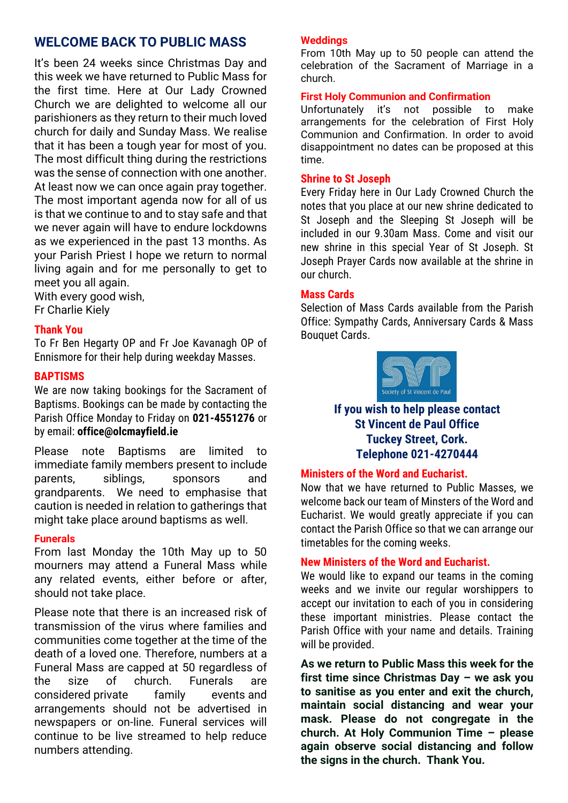## **WELCOME BACK TO PUBLIC MASS**

It's been 24 weeks since Christmas Day and this week we have returned to Public Mass for the first time. Here at Our Lady Crowned Church we are delighted to welcome all our parishioners as they return to their much loved church for daily and Sunday Mass. We realise that it has been a tough year for most of you. The most difficult thing during the restrictions was the sense of connection with one another. At least now we can once again pray together. The most important agenda now for all of us is that we continue to and to stay safe and that we never again will have to endure lockdowns as we experienced in the past 13 months. As your Parish Priest I hope we return to normal living again and for me personally to get to meet you all again.

With every good wish,

## Fr Charlie Kiely

#### **Thank You**

To Fr Ben Hegarty OP and Fr Joe Kavanagh OP of Ennismore for their help during weekday Masses.

#### **BAPTISMS**

We are now taking bookings for the Sacrament of Baptisms. Bookings can be made by contacting the Parish Office Monday to Friday on **021-4551276** or by email: **office@olcmayfield.ie**

Please note Baptisms are limited to immediate family members present to include parents, siblings, sponsors and grandparents. We need to emphasise that caution is needed in relation to gatherings that might take place around baptisms as well.

#### **Funerals**

From last Monday the 10th May up to 50 mourners may attend a Funeral Mass while any related events, either before or after, should not take place.

Please note that there is an increased risk of transmission of the virus where families and communities come together at the time of the death of a loved one. Therefore, numbers at a Funeral Mass are capped at 50 regardless of the size of church. Funerals are considered private family events and arrangements should not be advertised in newspapers or on-line. Funeral services will continue to be live streamed to help reduce numbers attending.

#### **Weddings**

From 10th May up to 50 people can attend the celebration of the Sacrament of Marriage in a church.

#### **First Holy Communion and Confirmation**

Unfortunately it's not possible to make arrangements for the celebration of First Holy Communion and Confirmation. In order to avoid disappointment no dates can be proposed at this time.

#### **Shrine to St Joseph**

Every Friday here in Our Lady Crowned Church the notes that you place at our new shrine dedicated to St Joseph and the Sleeping St Joseph will be included in our 9.30am Mass. Come and visit our new shrine in this special Year of St Joseph. St Joseph Prayer Cards now available at the shrine in our church.

#### **Mass Cards**

Selection of Mass Cards available from the Parish Office: Sympathy Cards, Anniversary Cards & Mass Bouquet Cards.



#### **If you wish to help please contact St Vincent de Paul Office Tuckey Street, Cork. Telephone 021-4270444**

#### **Ministers of the Word and Eucharist.**

Now that we have returned to Public Masses, we welcome back our team of Minsters of the Word and Eucharist. We would greatly appreciate if you can contact the Parish Office so that we can arrange our timetables for the coming weeks.

#### **New Ministers of the Word and Eucharist.**

We would like to expand our teams in the coming weeks and we invite our regular worshippers to accept our invitation to each of you in considering these important ministries. Please contact the Parish Office with your name and details. Training will be provided.

**As we return to Public Mass this week for the first time since Christmas Day – we ask you to sanitise as you enter and exit the church, maintain social distancing and wear your mask. Please do not congregate in the church. At Holy Communion Time – please again observe social distancing and follow the signs in the church. Thank You.**